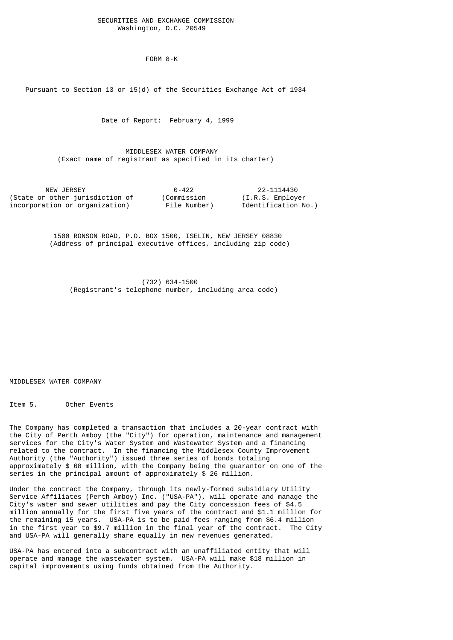## SECURITIES AND EXCHANGE COMMISSION Washington, D.C. 20549

FORM 8-K

Pursuant to Section 13 or 15(d) of the Securities Exchange Act of 1934

Date of Report: February 4, 1999

 MIDDLESEX WATER COMPANY (Exact name of registrant as specified in its charter)

| NEW JERSEY                      | $0 - 422$    | 22-1114430          |
|---------------------------------|--------------|---------------------|
| (State or other jurisdiction of | (Commission  | (I.R.S. Emplover)   |
| incorporation or organization)  | File Number) | Identification No.) |

 1500 RONSON ROAD, P.O. BOX 1500, ISELIN, NEW JERSEY 08830 (Address of principal executive offices, including zip code)

 (732) 634-1500 (Registrant's telephone number, including area code)

MIDDLESEX WATER COMPANY

Item 5. Other Events

The Company has completed a transaction that includes a 20-year contract with the City of Perth Amboy (the "City") for operation, maintenance and management services for the City's Water System and Wastewater System and a financing related to the contract. In the financing the Middlesex County Improvement Authority (the "Authority") issued three series of bonds totaling approximately \$ 68 million, with the Company being the guarantor on one of the series in the principal amount of approximately \$ 26 million.

Under the contract the Company, through its newly-formed subsidiary Utility Service Affiliates (Perth Amboy) Inc. ("USA-PA"), will operate and manage the City's water and sewer utilities and pay the City concession fees of \$4.5 million annually for the first five years of the contract and \$1.1 million for the remaining 15 years. USA-PA is to be paid fees ranging from \$6.4 million in the first year to \$9.7 million in the final year of the contract. The City and USA-PA will generally share equally in new revenues generated.

USA-PA has entered into a subcontract with an unaffiliated entity that will operate and manage the wastewater system. USA-PA will make \$18 million in capital improvements using funds obtained from the Authority.